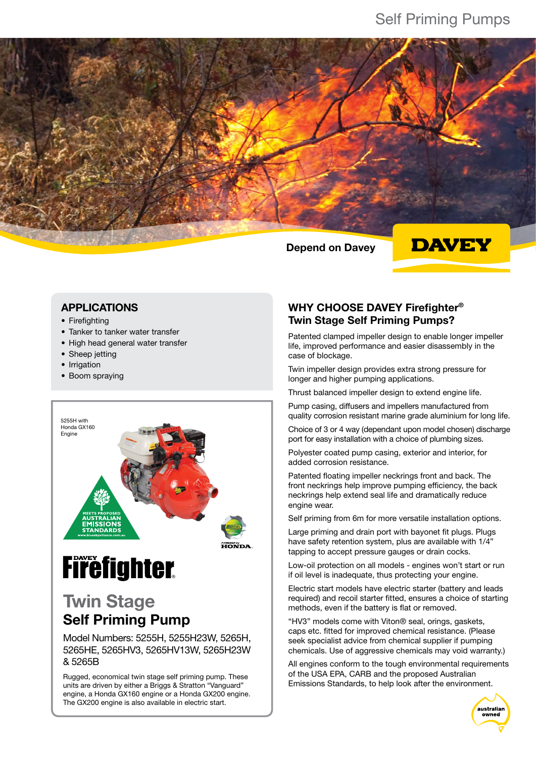Depend on Davey



#### APPLICATIONS

- Firefighting
- Tanker to tanker water transfer
- High head general water transfer
- Sheep jetting
- Irrigation
- Boom spraying



# **Firefighter**

## Twin Stage Self Priming Pump

Model Numbers: 5255H, 5255H23W, 5265H, 5265HE, 5265HV3, 5265HV13W, 5265H23W & 5265B

Rugged, economical twin stage self priming pump. These units are driven by either a Briggs & Stratton "Vanguard" engine, a Honda GX160 engine or a Honda GX200 engine. The GX200 engine is also available in electric start.

### WHY CHOOSE DAVEY Firefighter® Twin Stage Self Priming Pumps?

Patented clamped impeller design to enable longer impeller life, improved performance and easier disassembly in the case of blockage.

Twin impeller design provides extra strong pressure for longer and higher pumping applications.

Thrust balanced impeller design to extend engine life.

Pump casing, diffusers and impellers manufactured from quality corrosion resistant marine grade aluminium for long life.

Choice of 3 or 4 way (dependant upon model chosen) discharge port for easy installation with a choice of plumbing sizes.

Polyester coated pump casing, exterior and interior, for added corrosion resistance.

Patented floating impeller neckrings front and back. The front neckrings help improve pumping efficiency, the back neckrings help extend seal life and dramatically reduce engine wear.

Self priming from 6m for more versatile installation options.

Large priming and drain port with bayonet fit plugs. Plugs have safety retention system, plus are available with 1/4" tapping to accept pressure gauges or drain cocks.

Low-oil protection on all models - engines won't start or run if oil level is inadequate, thus protecting your engine.

Electric start models have electric starter (battery and leads required) and recoil starter fitted, ensures a choice of starting methods, even if the battery is flat or removed.

"HV3" models come with Viton® seal, orings, gaskets, caps etc. fitted for improved chemical resistance. (Please seek specialist advice from chemical supplier if pumping chemicals. Use of aggressive chemicals may void warranty.)

All engines conform to the tough environmental requirements of the USA EPA, CARB and the proposed Australian Emissions Standards, to help look after the environment.